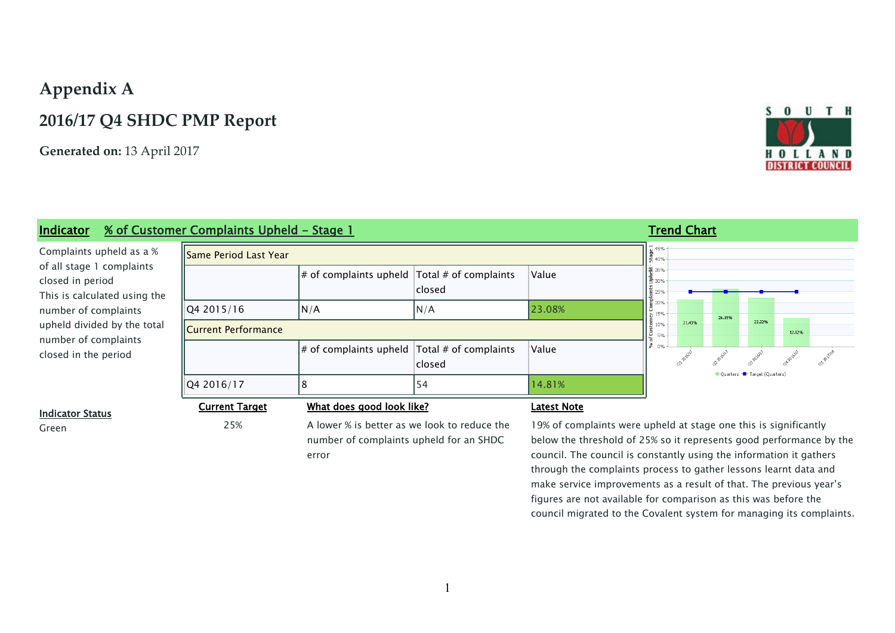# **Appendix A**

## **2016/17 Q4 SHDC PMP Report**

**Generated on:** 13 April 2017

# SOUTH **DISTRICT COUNCIL**

### **Indicator 6 % of Customer Complaints Upheld - Stage 1 Trend Chart Trend Chart**

Complaints upheld as a % of all stage 1 complaints closed in period This is calculated using the number of complaints upheld divided by the tot number of complaints closed in the period

| <b>ISame Period Last Year</b> |                                                       |        |                    | $\begin{bmatrix} 7 & 45\% \\ 7 & 40\% \end{bmatrix}$ |        |         |                              |        |         |
|-------------------------------|-------------------------------------------------------|--------|--------------------|------------------------------------------------------|--------|---------|------------------------------|--------|---------|
|                               | $\#$ of complaints upheld $\pi$ Total # of complaints | closed | Value              | $\frac{1}{2}$ 35%<br>$\frac{1}{2}$ 30%<br>를 25%      |        |         |                              |        |         |
| Q4 2015/16                    | N/A                                                   | N/A    | 23.08%             | 름 20%<br>$-15%$                                      |        | 26.1996 |                              |        |         |
| <b>Current Performance</b>    |                                                       |        |                    | 510%<br>Ιš<br>5%                                     | 21.43% |         | 22.22%                       | 12.82% |         |
|                               | $\#$ of complaints upheld $\pi$ Total # of complaints | closed | Value              | နီ 0%                                                |        |         |                              |        | - AV118 |
| Q4 2016/17                    | 8                                                     | 54     | 14.81%             |                                                      |        |         | Quarters - Target (Quarters) |        |         |
| <b>Current Target</b>         | What does good look like?                             |        | <u>Latest Note</u> |                                                      |        |         |                              |        |         |

#### **Indicator Status**

Green 25% A lower % is better as we look to reduce the number of complaints upheld for an SHDC error

19% of complaints were upheld at stage one this is significantly below the threshold of 25% so it represents good performance by the council. The council is constantly using the information it gathers through the complaints process to gather lessons learnt data and make service improvements as a result of that. The previous year's figures are not available for comparison as this was before the council migrated to the Covalent system for managing its complaints.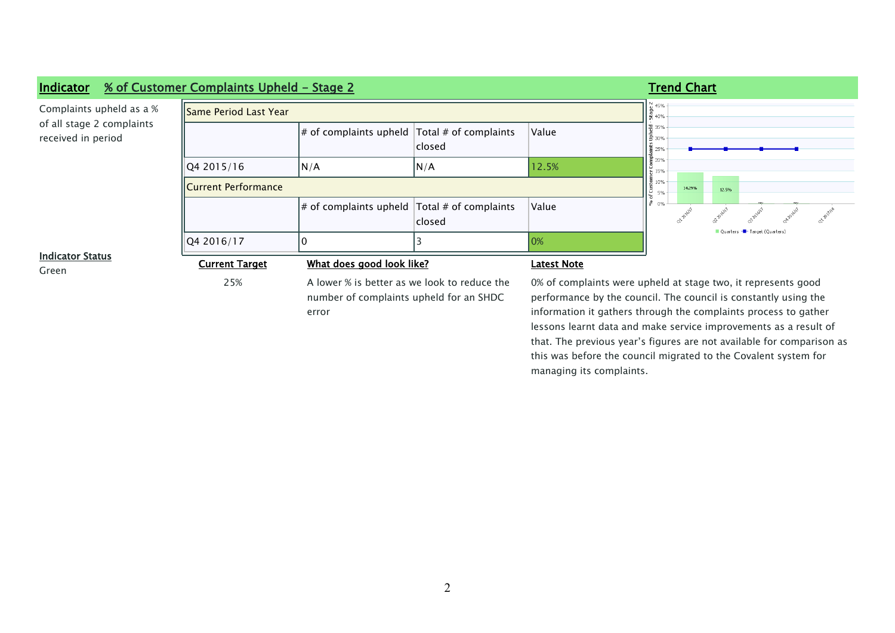

this was before the council migrated to the Covalent system for

managing its complaints.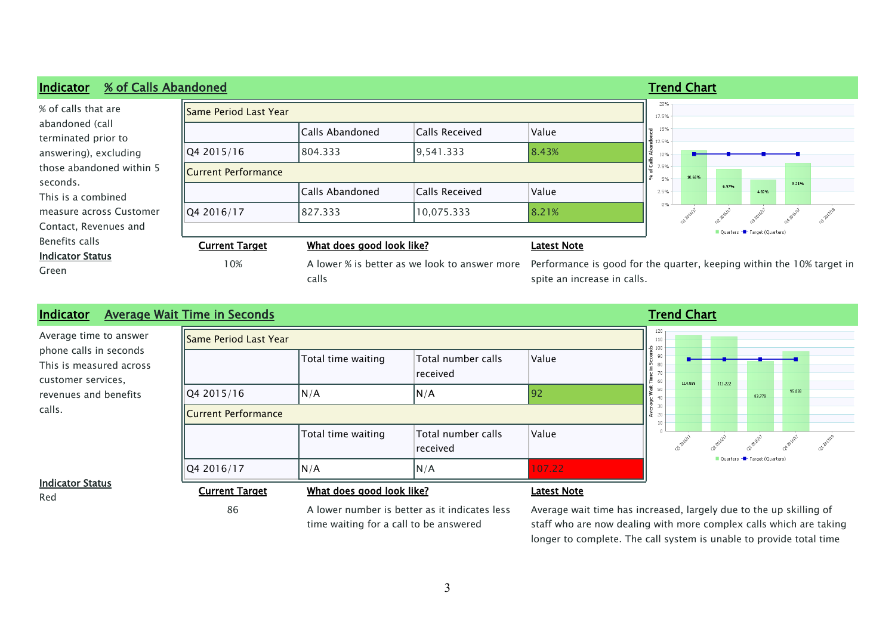



86 A lower number is better as it indicates less

time waiting for a call to be answered

Average wait time has increased, largely due to the up skilling of staff who are now dealing with more complex calls which are taking longer to complete. The call system is unable to provide total time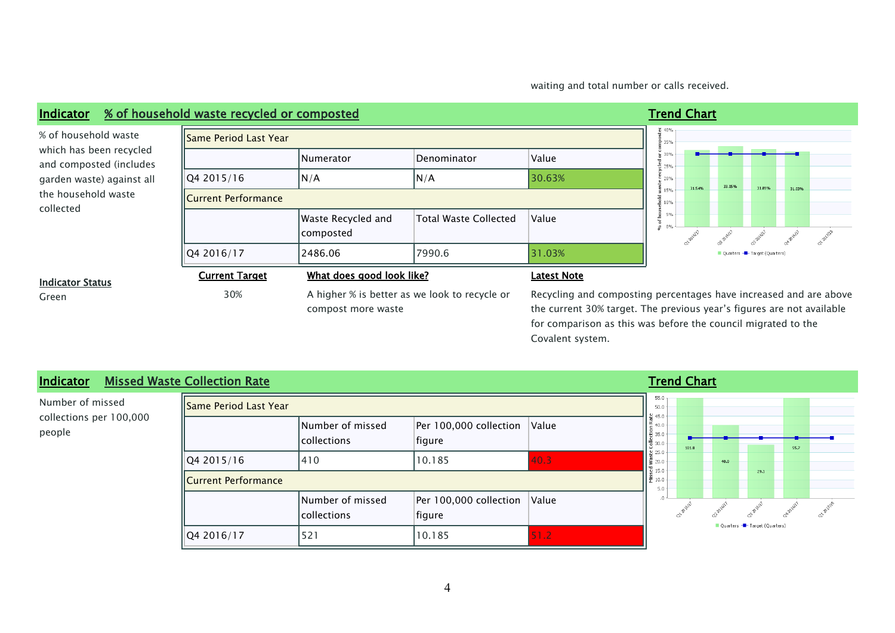waiting and total number or calls received.

#### **Indicator % of household waste recycled or composted Trend Chart Trend Chart**  $\frac{9}{61}$  40<sup>c</sup> Same Period Last Year 을 <sub>35%</sub>  $\frac{6}{5}$  30% Numerator Denominator Value  $\frac{1}{6}$  25% Q4 2015/16 N/A N/A N/A 30.63%  $20%$ 31.54% 33.15%  $\frac{1}{2}$  15% Current Performance 10%  $5%$ Waste Recycled and Total Waste Collected Value % of composted  $\overline{Q4\ 2016/17}$   $\overline{Q4\ 86.06}$   $\overline{Q7990.6}$   $\overline{31.03\%}$ Ouarters **Current Target What does good look like? Latest Note** Green 30% 30% A higher % is better as we look to recycle or compost more waste

% of household waste which has been recycled and composted (includes garden waste) against all the household waste collected



#### **Indicator Status**

Recycling and composting percentages have increased and are above the current 30% target. The previous year's figures are not available for comparison as this was before the council migrated to the Covalent system.

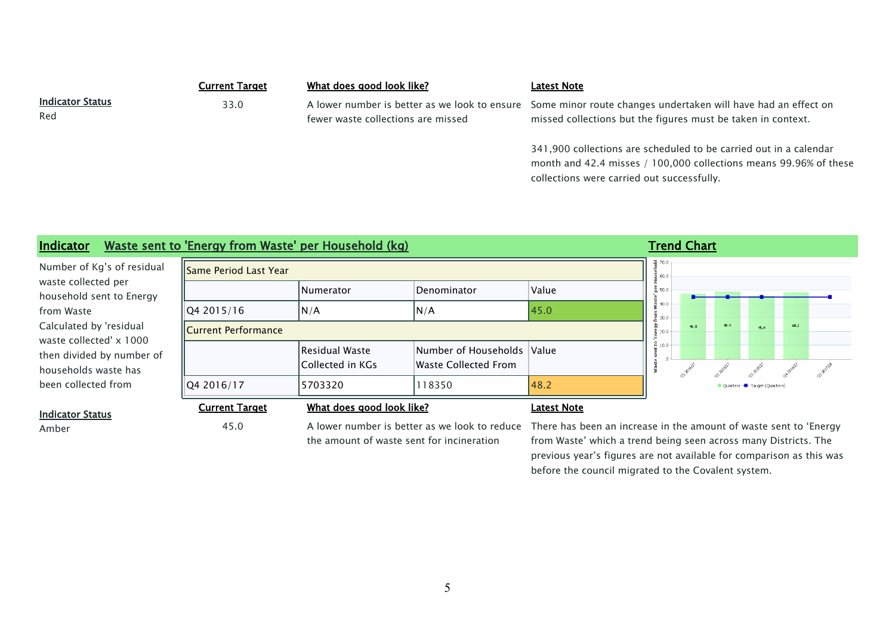|                         | Current Target | What does good look like?          | <b>Latest Note</b>                                                                                           |
|-------------------------|----------------|------------------------------------|--------------------------------------------------------------------------------------------------------------|
| <b>Indicator Status</b> | 33.0           |                                    | A lower number is better as we look to ensure Some minor route changes undertaken will have had an effect on |
| Red                     |                | fewer waste collections are missed | missed collections but the figures must be taken in context.                                                 |

341,900 collections are scheduled to be carried out in a calendar month and 42.4 misses / 100,000 collections means 99.96% of these collections were carried out successfully.

### **Indicator Waste sent to 'Energy from Waste' per Household (kg) Trend Chart Trend Chart**

Number of Kg's of residual waste collected per household sent to Energy from Waste Calculated by 'residual waste collected' x 1000 then divided by number of households waste has been collected from

| <b>Same Period Last Year</b> |                                     |                                                    |             | 꼭 70.0<br>$\frac{3}{2}$ 60.0 |      |
|------------------------------|-------------------------------------|----------------------------------------------------|-------------|------------------------------|------|
|                              | <b>Numerator</b>                    | Denominator                                        | Value       | 품 50.0                       |      |
| Q4 2015/16                   | N/A                                 | N/A                                                | 45.0        | 640.0<br>$\frac{5}{2}$ 30.0  |      |
| Current Performance          |                                     |                                                    |             | $\frac{1}{9}$ 20.0           | 46.8 |
|                              | Residual Waste<br> Collected in KGs | Number of Households Value<br>Waste Collected From |             | s<br>10.0                    |      |
| Q4 2016/17                   | 5703320                             | 118350                                             | 48.2        |                              |      |
| <b>Current Target</b>        | What does good look like?           |                                                    | Latest Note |                              |      |

 $48.2$  $45.4$ Ouarters - Target (Ouarters

#### **Indicator Status**

the amount of waste sent for incineration

Amber 45.0 A lower number is better as we look to reduce There has been an increase in the amount of waste sent to 'Energy from Waste' which a trend being seen across many Districts. The previous year's figures are not available for comparison as this was before the council migrated to the Covalent system.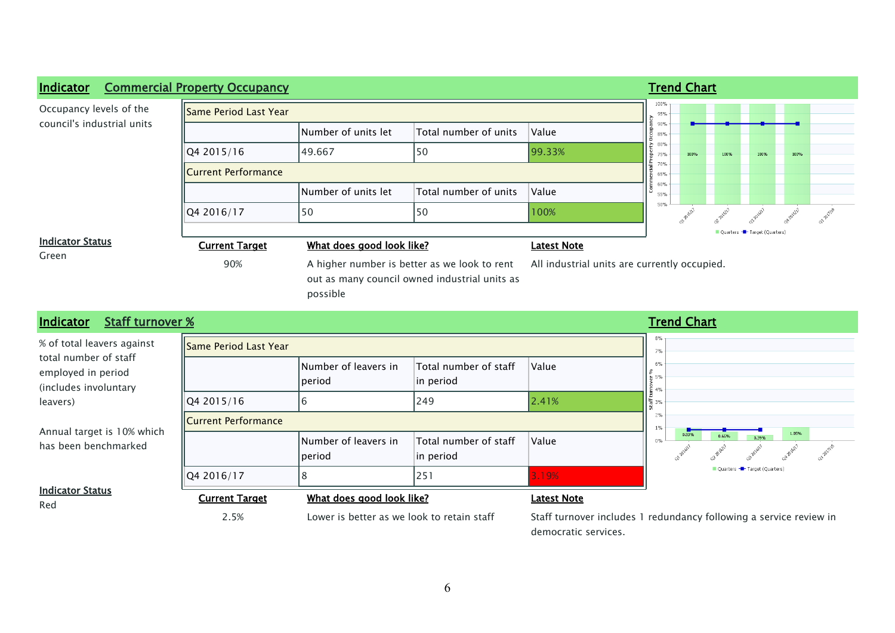

| <b>Staff turnover %</b><br>Indicator                                 |                       |                                 |                                    |                    | <b>Trend Chart</b>                     |
|----------------------------------------------------------------------|-----------------------|---------------------------------|------------------------------------|--------------------|----------------------------------------|
| % of total leavers against                                           | Same Period Last Year |                                 |                                    |                    | 8%<br>7%                               |
| total number of staff<br>employed in period<br>(includes involuntary |                       | Number of leavers in<br> period | Total number of staff<br>in period | Value              | 6%<br>$\frac{1}{40}$ 5%<br>든 4%        |
| leavers)                                                             | Q4 2015/16            | 6                               | 249                                | 2.41%              | 통 3%                                   |
|                                                                      | Current Performance   |                                 |                                    |                    | 2%<br>$1\%$                            |
| Annual target is 10% which<br>has been benchmarked                   |                       | Number of leavers in<br> period | Total number of staff<br>in period | Value              | 1.05%<br>0.939<br>0.66%<br>0.39%<br>0% |
|                                                                      | Q4 2016/17            | 8                               | 251                                | 3.19%              | Quarters <b>-</b> Target (Quarters)    |
| <b>Indicator Status</b><br>Red                                       | <b>Current Target</b> | What does good look like?       |                                    | <b>Latest Note</b> |                                        |

2.5% Lower is better as we look to retain staff Staff turnover includes 1 redundancy following a service review in democratic services.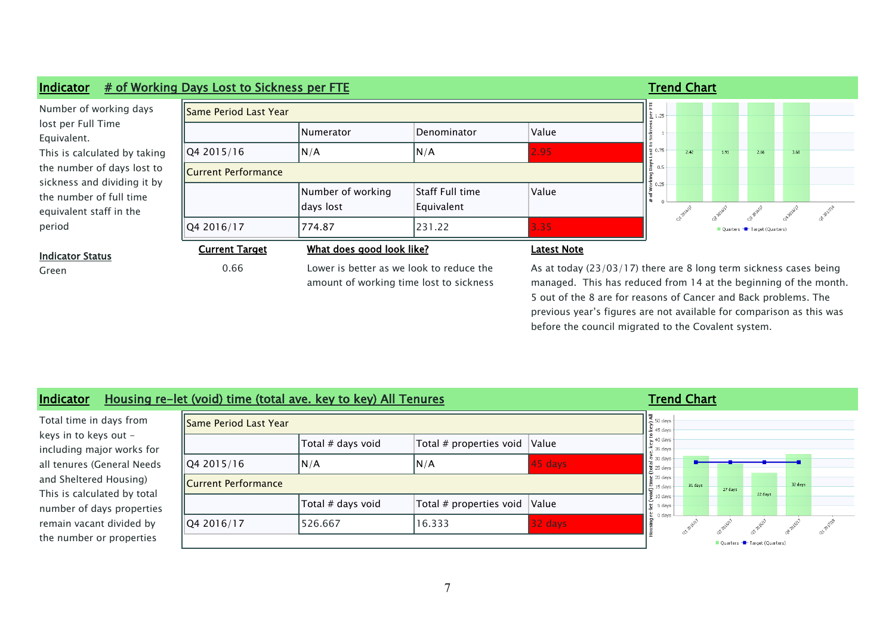

managed. This has reduced from 14 at the beginning of the month. 5 out of the 8 are for reasons of Cancer and Back problems. The previous year's figures are not available for comparison as this was before the council migrated to the Covalent system.

| Indicator                                             |                              | Housing re-let (void) time (total ave. key to key) All Tenures |                                                    |                            | <b>Trend Chart</b>                              |         |         |                              |         |  |
|-------------------------------------------------------|------------------------------|----------------------------------------------------------------|----------------------------------------------------|----------------------------|-------------------------------------------------|---------|---------|------------------------------|---------|--|
| Total time in days from                               | <b>Same Period Last Year</b> |                                                                |                                                    |                            | $\frac{4}{5}$ 50 days<br>$245 \text{ days}$     |         |         |                              |         |  |
| keys in to keys out -<br>including major works for    |                              | Total # days void                                              | Total # properties void $\sqrt{\frac{2}{1}}$ Value |                            | $\leq 40$ days<br>$\frac{3}{2}$ 35 days         |         |         |                              |         |  |
| all tenures (General Needs                            | Q4 2015/16                   | N/A                                                            | N/A                                                | 45 days                    | $\frac{2}{10}$ 30 days<br>$\frac{3}{2}$ 25 days |         |         |                              |         |  |
| and Sheltered Housing)<br>This is calculated by total | <b>IICurrent Performance</b> |                                                                |                                                    |                            | $920 \text{ days}$<br>$\frac{15}{6}$ 15 days    | 31 days | 27 days | 22 days                      | 32 days |  |
| number of days properties                             |                              | Total # days void                                              | Total # properties void                            | <i><u><b>Nalue</b></u></i> | $\frac{1}{2}$ 10 days<br>5 days                 |         |         |                              |         |  |
| remain vacant divided by                              | Q4 2016/17                   | 526.667                                                        | 16.333                                             | 32 days                    | 0 days                                          |         |         |                              |         |  |
| the number or properties                              |                              |                                                                |                                                    |                            |                                                 |         |         | Quarters - Target (Quarters) |         |  |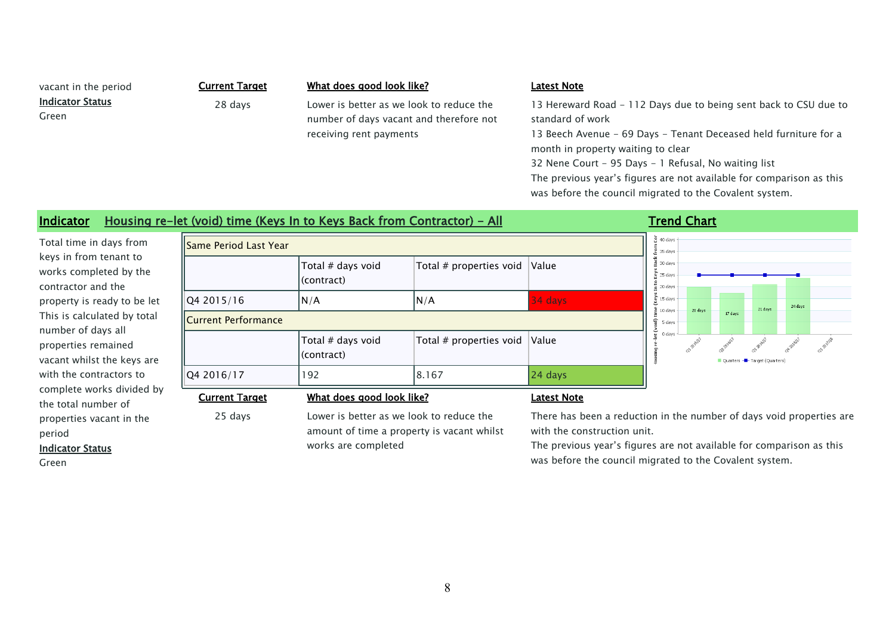**Indicator Status**

Green

 $\overline{r}$ 

vacant in the period **Current Target What does good look like? Latest Note**

28 days Lower is better as we look to reduce the number of days vacant and therefore not receiving rent payments

13 Hereward Road - 112 Days due to being sent back to CSU due to standard of work

13 Beech Avenue - 69 Days - Tenant Deceased held furniture for a month in property waiting to clear

32 Nene Court - 95 Days - 1 Refusal, No waiting list

 $\overline{\mathbf{1}}$   $\overline{\mathbf{5}}$  and such  $\overline{\mathbf{1}}$ 

The previous year's figures are not available for comparison as this was before the council migrated to the Covalent system.

### **Indicator Housing re-let (void) time (Keys In to Keys Back from Contractor) - All <b>Trend Chart**

Total time in days from keys in from tenant to works completed by the contractor and the property is ready to be let This is calculated by total number of days all properties remained vacant whilst the keys are with the contractors to complete works divided by the total number of properties vacant in the period

| llSame Period Last Year |                                 |                                         |                                          | $\frac{2}{5}$ 35 days                                      |           |                 |
|-------------------------|---------------------------------|-----------------------------------------|------------------------------------------|------------------------------------------------------------|-----------|-----------------|
|                         | Total # days void<br>(contract) | Total # properties void                 | Value                                    | $\frac{M}{20}$ 30 days<br>$\frac{1}{2}$ 25 days<br>20 days |           |                 |
| Q4 2015/16              | N/A                             | N/A                                     | 34 days                                  | $\frac{1}{2}$ 15 days                                      | 20 days   |                 |
| Current Performance     |                                 |                                         |                                          | $\approx 10$ days<br>5 days                                |           | 17              |
|                         | Total # days void<br>(contract) | Total # properties void                 | Value                                    | 0 days                                                     | at proll? | Ol-2015!<br>Qua |
| 04 2016/17              | 192                             | 8.167                                   | 24 days                                  |                                                            |           |                 |
| <b>Current Target</b>   | What does good look like?       |                                         | <b>Latest Note</b>                       |                                                            |           |                 |
| $25$ dave               |                                 | ower is hetter as we look to reduce the | There has heen a reduction in the number |                                                            |           |                 |

24 days 21 days Target (Ouarter

#### **Indicator Status**

Green

25 days Lower is better as we look to reduce the amount of time a property is vacant whilst

works are completed

There has been a reduction in the number of days void properties are with the construction unit.

The previous year's figures are not available for comparison as this was before the council migrated to the Covalent system.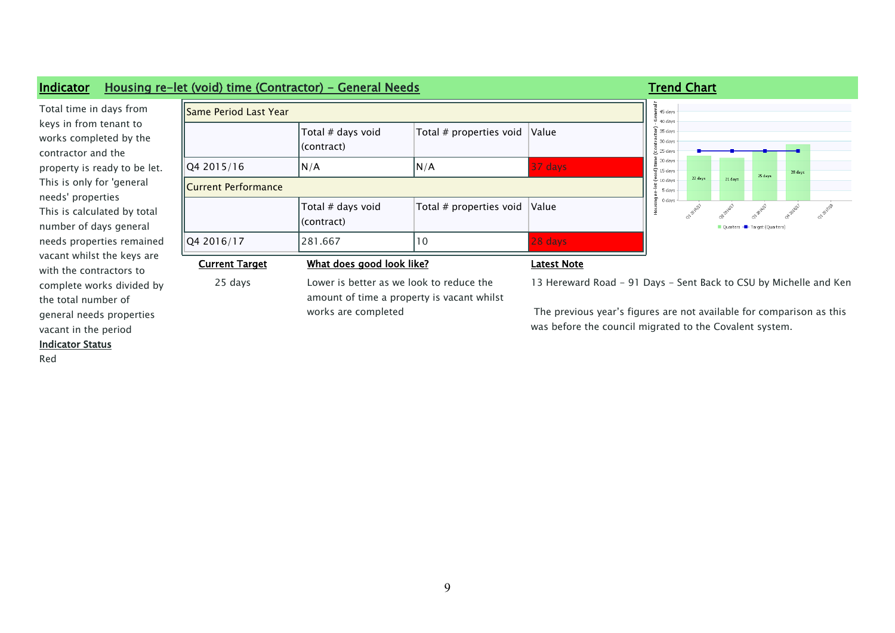

vacant in the period

**Indicator Status**

Red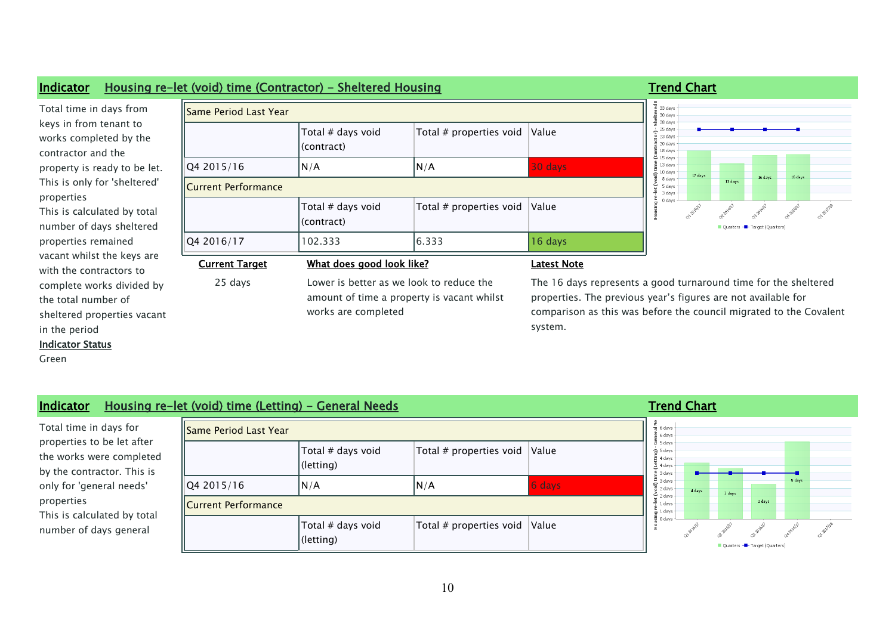

#### in the period

#### **Indicator Status**

Green

| ngicator Status |
|-----------------|
|                 |

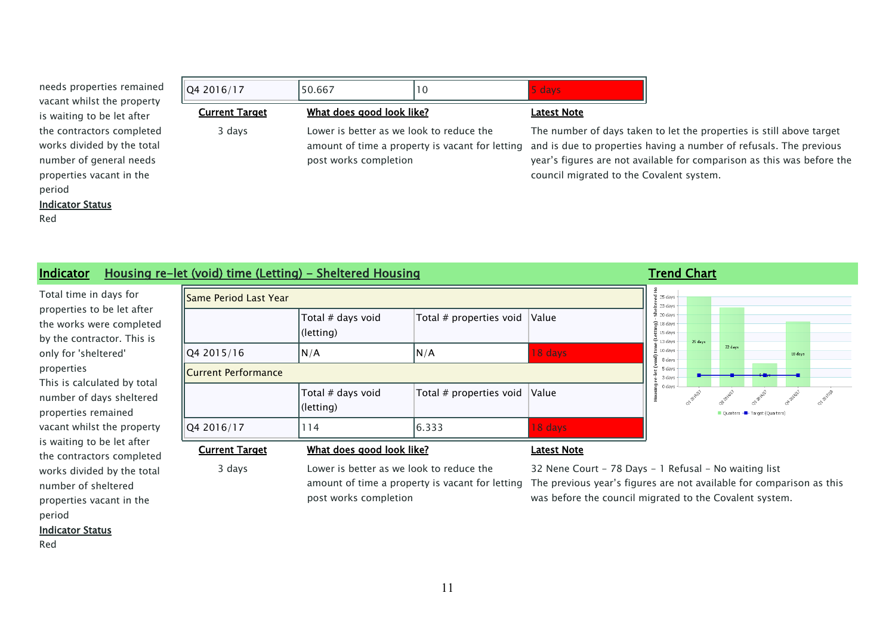| needs properties remained  |
|----------------------------|
| vacant whilst the property |
| is waiting to be let after |
| the contractors completed  |
| works divided by the total |
| number of general needs    |
| properties vacant in the   |
| period                     |

#### **Indicator Status**

Red

| Q4 2016/17            | 50.667                                                            | 10                                              | 5 days                                                                                                                                                                                                                                                           |
|-----------------------|-------------------------------------------------------------------|-------------------------------------------------|------------------------------------------------------------------------------------------------------------------------------------------------------------------------------------------------------------------------------------------------------------------|
| <b>Current Target</b> | What does good look like?                                         |                                                 | <b>Latest Note</b>                                                                                                                                                                                                                                               |
| 3 days                | Lower is better as we look to reduce the<br>post works completion | amount of time a property is vacant for letting | The number of days taken to let the properties is still above target<br>and is due to properties having a number of refusals. The previous<br>year's figures are not available for comparison as this was before the<br>council migrated to the Covalent system. |

### **Indicator Housing re-let (void) time (Letting) - Sheltered Housing <b>Trand Chart Trend Chart**

Total time in days for properties to be let after the works were completed by the contractor. This is only for 'sheltered' properties This is calculated by total number of days sheltered properties remained vacant whilst the property is waiting to be let after the contractors completed works divided by the total number of sheltered properties vacant in the period

**Indicator Status**

Red

| Same Period Last Year      |                                |                         |         |
|----------------------------|--------------------------------|-------------------------|---------|
|                            | Total # days void<br>(letting) | Total # properties void | Value   |
| Q4 2015/16                 | N/A                            | N/A                     | 18 days |
| <b>Current Performance</b> |                                |                         |         |
|                            | Total # days void<br>(letting) | Total # properties void | Value   |
| Q4 2016/17                 | 114                            | 6.333                   | 18 days |

#### **Current Target What does good look like? Latest Note**

3 days Lower is better as we look to reduce the amount of time a property is vacant for letting post works completion

32 Nene Court - 78 Days - 1 Refusal - No waiting list The previous year's figures are not available for comparison as this was before the council migrated to the Covalent system.

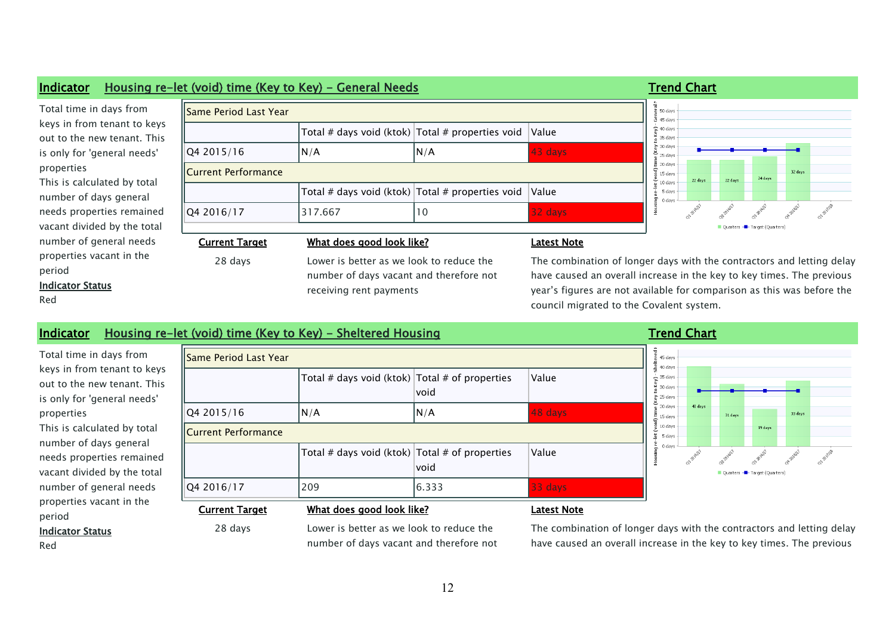#### **Indicator Housing re-let (void) time (Key to Key) - General Needs Trend Chart Trend Chart**

### Total time in days from keys in from tenant to key out to the new tenant. This is only for 'general needs' properties This is calculated by total number of days general needs properties remained vacant divided by the total number of general needs properties vacant in the period

#### **Indicator Status**

Red

| <b>Current Target</b>        | What does good look like?                                |     | <b>Latest Note</b> |
|------------------------------|----------------------------------------------------------|-----|--------------------|
| Q4 2016/17                   | 317.667                                                  | 10  | $32$ days          |
|                              | Total # days void (ktok) $\vert$ Total # properties void |     | Value              |
| <b>Current Performance</b>   |                                                          |     |                    |
| Q4 2015/16                   | N/A                                                      | N/A | 43 days            |
|                              | Total # days void (ktok) $\vert$ Total # properties void |     | Value              |
| <b>Same Period Last Year</b> |                                                          |     |                    |

#### days davs davs days days days days 32 days davs 24 days 22 days 22 days days days dav anapille

#### **Cuarter** Target (Orientero

# number of days vacant and therefore not receiving rent payments

ays with the contractors and letting delay have caused an overall increase in the key to key times. The previous year's figures are not available for comparison as this was before the council migrated to the Covalent system.

### **Indicator Housing re-let (void) time (Key to Key) - Sheltered Housing <b>Trand Chart Trend Chart**

| Total time in days from     |
|-----------------------------|
| keys in from tenant to keys |
| out to the new tenant. This |
| is only for 'general needs' |
| properties                  |
| This is calculated by total |
| number of days general      |
| needs properties remained   |
| vacant divided by the total |
| number of general needs     |
| properties vacant in the    |
| period                      |

**Indicator Status**

Red

| Same Period Last Year      |                                                                      |                                                                |         |
|----------------------------|----------------------------------------------------------------------|----------------------------------------------------------------|---------|
|                            |                                                                      | Total # days void (ktok) $\vert$ Total # of properties<br>void | Value   |
| Q4 2015/16                 | N/A                                                                  | N/A                                                            | 48 days |
| <b>Current Performance</b> |                                                                      |                                                                |         |
|                            |                                                                      | Total # days void (ktok) $\vert$ Total # of properties<br>void | Value   |
| Q4 2016/17                 | 209                                                                  | 6.333                                                          | 33 days |
| - -                        | $\frac{1}{2}$ . The set of $\frac{1}{2}$ is the set of $\frac{1}{2}$ |                                                                | .       |

#### 공<br>합 45 days  $\frac{1}{2}$  40 days  $\sum_{0}^{1}$  35 days - 9  $\sum_{i=1}^{n}$  25 days 20 day 40 days 33 days 31 days 로 15 days  $\frac{13}{8}$  10 days 19 days  $\frac{1}{2}$  5 days 0 days łousing Target (Quarters) **Ouarters**

### **Current Target What does good look like? Latest Note**

28 days Lower is better as we look to reduce the number of days vacant and therefore not

The combination of longer days with the contractors and letting delay have caused an overall increase in the key to key times. The previous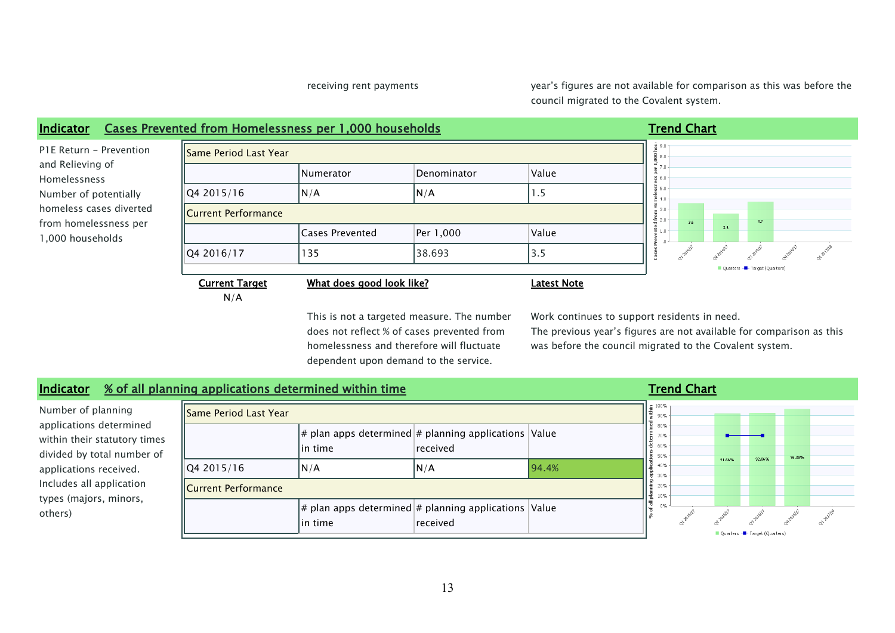receiving rent payments year's figures are not available for comparison as this was before the council migrated to the Covalent system.



does not reflect % of cases prevented from homelessness and therefore will fluctuate dependent upon demand to the service.

The previous year's figures are not available for comparison as this was before the council migrated to the Covalent system.

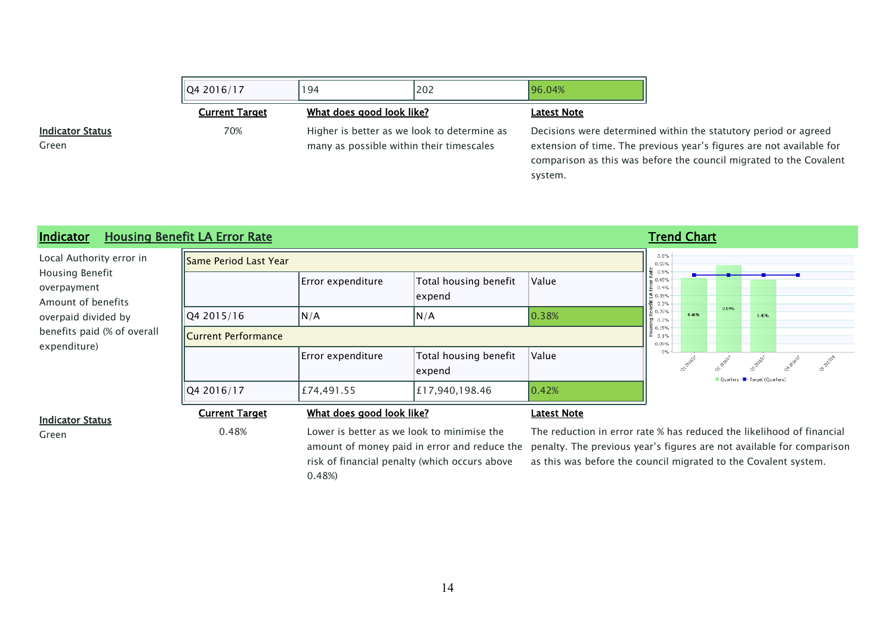| 194 | 202 | 196.04%                                                                                                              |                                                                                                                                                                                                               |
|-----|-----|----------------------------------------------------------------------------------------------------------------------|---------------------------------------------------------------------------------------------------------------------------------------------------------------------------------------------------------------|
|     |     | <b>Latest Note</b>                                                                                                   |                                                                                                                                                                                                               |
|     |     |                                                                                                                      | Decisions were determined within the statutory period or agreed<br>extension of time. The previous year's figures are not available for<br>comparison as this was before the council migrated to the Covalent |
|     |     | What does good look like?<br>Higher is better as we look to determine as<br>many as possible within their timescales | system.                                                                                                                                                                                                       |

### **Indicator Housing Benefit LA Error Rate Trend Chart Trend Chart Trend Chart Trend Chart**

| Local Authority error in                             | <b>Same Period Last Year</b> |                           |                                 |                    |                                                                                                                                                                        | 0.6%<br>0.55% |       |       |                              |  |  |  |  |
|------------------------------------------------------|------------------------------|---------------------------|---------------------------------|--------------------|------------------------------------------------------------------------------------------------------------------------------------------------------------------------|---------------|-------|-------|------------------------------|--|--|--|--|
| Housing Benefit<br>overpayment<br>Amount of benefits |                              | Error expenditure         | Total housing benefit<br>expend | Value              | 1월 0.5%<br>$\begin{array}{c}\n\stackrel{\sim}{\text{c}} 0.45\% \\ \stackrel{\sim}{\text{c}} 0.4\% \\ \stackrel{\sim}{\text{d}} 0.35\% \\ \end{array}$                  |               |       |       |                              |  |  |  |  |
| overpaid divided by                                  | Q4 2015/16                   | N/A                       | N/A                             | 0.38%              | $\begin{array}{ l }\n\hline\n\ddot{E} & 0.3\% \\ \hline\n\ddot{E} & 0.25\% \\ \hline\n\end{array}$<br>물 0.2%<br>$\begin{bmatrix} 1 \\ 2 \\ 3 \\ 4 \end{bmatrix}$ 0.15% |               | 0.46% | 0.54% | 0.45%                        |  |  |  |  |
| benefits paid (% of overall<br>expenditure)          | <b>ICurrent Performance</b>  |                           |                                 |                    |                                                                                                                                                                        | 0.05%         |       |       |                              |  |  |  |  |
|                                                      |                              | Error expenditure         | Total housing benefit<br>expend | Value              | 0%                                                                                                                                                                     |               |       |       | Quarters - Target (Quarters) |  |  |  |  |
|                                                      | Q4 2016/17                   | £74,491.55                | £17,940,198.46                  | 0.42%              |                                                                                                                                                                        |               |       |       |                              |  |  |  |  |
| <b>Indicator Status</b>                              | <b>Current Target</b>        | What does good look like? |                                 | <b>Latest Note</b> |                                                                                                                                                                        |               |       |       |                              |  |  |  |  |

**Indicator Status**

Green

Green **Callet Contract Contract Contract Contract Contract Contract Contract Contract Contract Contract Contract Contract Contract Contract Contract Contract Contract Contract Contract Contract Contract Contract Contract C** risk of financial penalty (which occurs above 0.48%)

amount of money paid in error and reduce the penalty. The previous year's figures are not available for comparison The reduction in error rate % has reduced the likelihood of financial as this was before the council migrated to the Covalent system.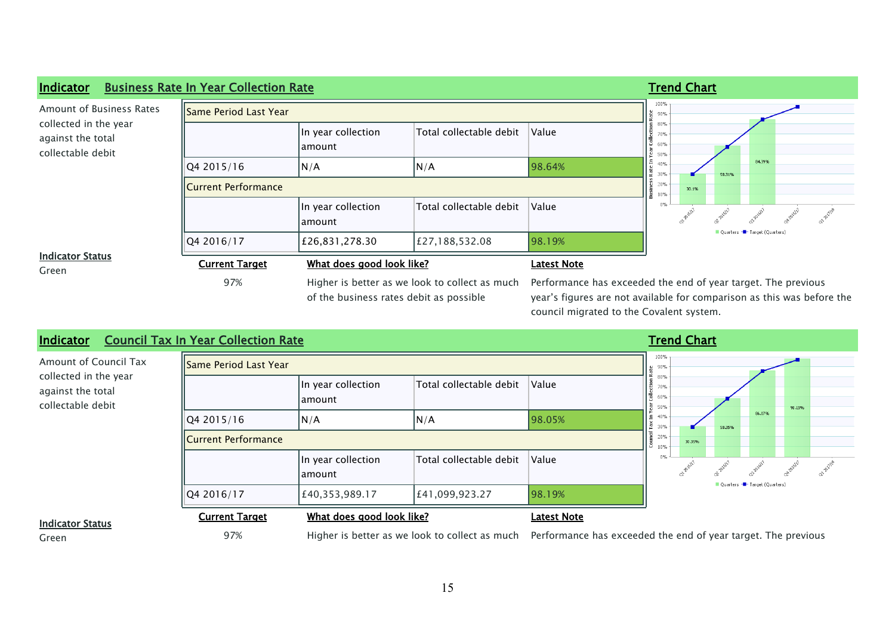| Indicator                                                       | <b>Business Rate In Year Collection Rate</b> |                                                                                           |                         |                                                                                                                                                                                     |                          |       | <b>Trend Chart</b>           |        |  |  |  |  |  |  |  |  |
|-----------------------------------------------------------------|----------------------------------------------|-------------------------------------------------------------------------------------------|-------------------------|-------------------------------------------------------------------------------------------------------------------------------------------------------------------------------------|--------------------------|-------|------------------------------|--------|--|--|--|--|--|--|--|--|
| Amount of Business Rates                                        | Same Period Last Year                        |                                                                                           |                         |                                                                                                                                                                                     | 100%<br>90%              |       |                              |        |  |  |  |  |  |  |  |  |
| collected in the year<br>against the total<br>collectable debit |                                              | In year collection<br> amount                                                             | Total collectable debit | Value                                                                                                                                                                               | 80%<br>70%<br>60%<br>50% |       |                              |        |  |  |  |  |  |  |  |  |
|                                                                 | Q4 2015/16                                   | N/A                                                                                       | N/A                     | 98.64%                                                                                                                                                                              | 40%<br>30%               |       | 58.31%                       | 84.39% |  |  |  |  |  |  |  |  |
|                                                                 | Current Performance                          |                                                                                           |                         |                                                                                                                                                                                     |                          | 30.1% |                              |        |  |  |  |  |  |  |  |  |
|                                                                 |                                              | In year collection<br> amount                                                             | Total collectable debit | Value                                                                                                                                                                               | $0\%$                    |       |                              |        |  |  |  |  |  |  |  |  |
|                                                                 | Q4 2016/17                                   | £26,831,278.30                                                                            | £27,188,532.08          | 98.19%                                                                                                                                                                              |                          |       | Quarters - Target (Quarters) |        |  |  |  |  |  |  |  |  |
| <b>Indicator Status</b><br>Green                                | <b>Current Target</b>                        | What does good look like?                                                                 |                         | Latest Note                                                                                                                                                                         |                          |       |                              |        |  |  |  |  |  |  |  |  |
|                                                                 | 97%                                          | Higher is better as we look to collect as much<br>of the business rates debit as possible |                         | Performance has exceeded the end of year target. The previous<br>year's figures are not available for comparison as this was before the<br>council migrated to the Covalent system. |                          |       |                              |        |  |  |  |  |  |  |  |  |